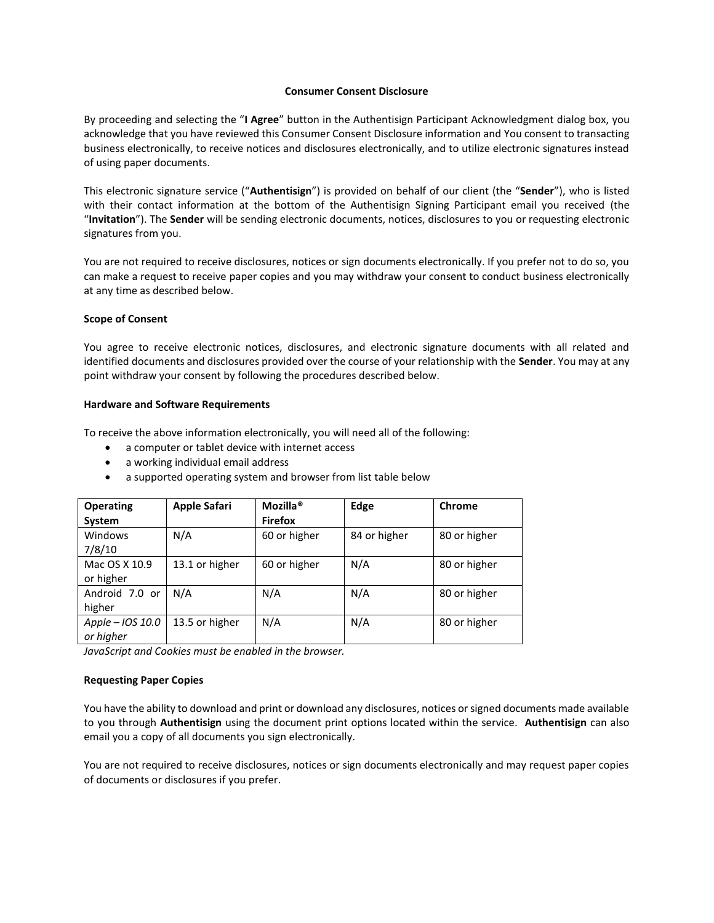#### **Consumer Consent Disclosure**

By proceeding and selecting the "**I Agree**" button in the Authentisign Participant Acknowledgment dialog box, you acknowledge that you have reviewed this Consumer Consent Disclosure information and You consent to transacting business electronically, to receive notices and disclosures electronically, and to utilize electronic signatures instead of using paper documents.

This electronic signature service ("**Authentisign**") is provided on behalf of our client (the "**Sender**"), who is listed with their contact information at the bottom of the Authentisign Signing Participant email you received (the "**Invitation**"). The **Sender** will be sending electronic documents, notices, disclosures to you or requesting electronic signatures from you.

You are not required to receive disclosures, notices or sign documents electronically. If you prefer not to do so, you can make a request to receive paper copies and you may withdraw your consent to conduct business electronically at any time as described below.

### **Scope of Consent**

You agree to receive electronic notices, disclosures, and electronic signature documents with all related and identified documents and disclosures provided over the course of your relationship with the **Sender**. You may at any point withdraw your consent by following the procedures described below.

### **Hardware and Software Requirements**

To receive the above information electronically, you will need all of the following:

- a computer or tablet device with internet access
- a working individual email address
- a supported operating system and browser from list table below

| <b>Operating</b> | <b>Apple Safari</b> | Mozilla <sup>®</sup> | Edge         | Chrome       |
|------------------|---------------------|----------------------|--------------|--------------|
| System           |                     | <b>Firefox</b>       |              |              |
| Windows          | N/A                 | 60 or higher         | 84 or higher | 80 or higher |
| 7/8/10           |                     |                      |              |              |
| Mac OS X 10.9    | 13.1 or higher      | 60 or higher         | N/A          | 80 or higher |
| or higher        |                     |                      |              |              |
| Android 7.0 or   | N/A                 | N/A                  | N/A          | 80 or higher |
| higher           |                     |                      |              |              |
| Apple - IOS 10.0 | 13.5 or higher      | N/A                  | N/A          | 80 or higher |
| or higher        |                     |                      |              |              |

*JavaScript and Cookies must be enabled in the browser.*

## **Requesting Paper Copies**

You have the ability to download and print or download any disclosures, notices or signed documents made available to you through **Authentisign** using the document print options located within the service. **Authentisign** can also email you a copy of all documents you sign electronically.

You are not required to receive disclosures, notices or sign documents electronically and may request paper copies of documents or disclosures if you prefer.